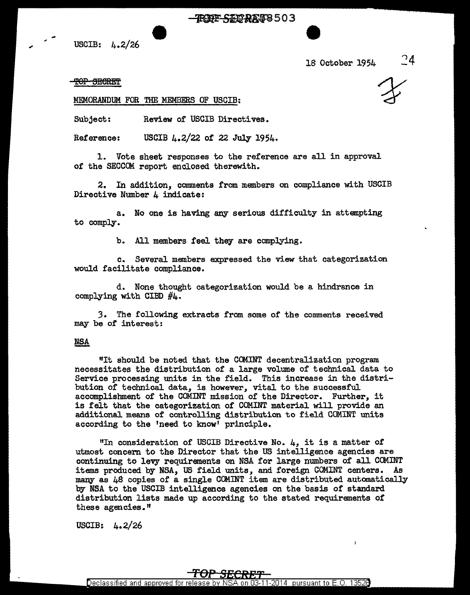TRIPP SIDRAT8503

USCIB: 4.2/26

18 October 1954

<del>TOP SECRET</del>

MEMORANDUM FOR THE MEMBERS OF USCIB:

Subject: Review of USCIB Directives.

Reference: USCIB  $\mu$ . 2/22 of 22 July 1954.

1. Vote sheet responses to the reference are all in approval of the SECCOM report enclosed therewith.

2. In addition, comments from members on compliance with USCIB Directive Number 4 indicate:

a. No one is having any serious difficulty in attempting to comply.

b. All members feel they are complying.

c. Several members expressed the view that categorization would facilitate compliance.

d. None thought categorization would be a hindrance in complying with CIBD  $#4$ .

3. The following extracts from some of the comments received may be of interest:

### **NSA**

"It should be noted that the COMINT decentralization program necessitates the distribution of a large volume of technical data to Service processing units in the field. This increase in the distribution of technical data, is however, vital to the successful accomplishment of the COMINT mission of the Director. Further, it is felt that the categorization 0£ COMINT material will provide an additional means of controlling distribution to field COMINT units according to the 'need to know' principle.

"In consideration of USCIB Directive No. 4, it is a matter of utmost concern to the Director that the US intelligence agencies are continuing to levy requirements on NSA for large numbers of all COMINT items produced by NSA, US field units, and foreign COMINT centers. As many as 48 copies of a single COMINT item are distributed automatically by NSA to the USCIB intelligence agencies on the basis of standard distribution lists made up according to the stated requirements of these agencies. $<sup>π</sup>$ </sup>

USCIB:  $4.2/26$ 

## <del>TOP SECRET</del>